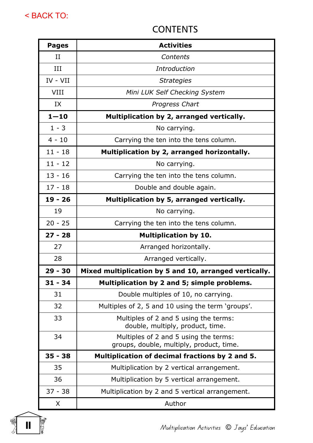## **CONTENTS**

| <b>Pages</b> | <b>Activities</b>                                                                 |
|--------------|-----------------------------------------------------------------------------------|
| $_{\rm II}$  | Contents                                                                          |
| III          | <i>Introduction</i>                                                               |
| IV - VII     | <b>Strategies</b>                                                                 |
| VIII         | Mini LUK Self Checking System                                                     |
| IX           | <b>Progress Chart</b>                                                             |
| $1 - 10$     | Multiplication by 2, arranged vertically.                                         |
| $1 - 3$      | No carrying.                                                                      |
| $4 - 10$     | Carrying the ten into the tens column.                                            |
| $11 - 18$    | Multiplication by 2, arranged horizontally.                                       |
| $11 - 12$    | No carrying.                                                                      |
| $13 - 16$    | Carrying the ten into the tens column.                                            |
| $17 - 18$    | Double and double again.                                                          |
| $19 - 26$    | Multiplication by 5, arranged vertically.                                         |
| 19           | No carrying.                                                                      |
| $20 - 25$    | Carrying the ten into the tens column.                                            |
| $27 - 28$    | <b>Multiplication by 10.</b>                                                      |
| 27           | Arranged horizontally.                                                            |
| 28           | Arranged vertically.                                                              |
| $29 - 30$    | Mixed multiplication by 5 and 10, arranged vertically.                            |
| $31 - 34$    | Multiplication by 2 and 5; simple problems.                                       |
| 31           | Double multiples of 10, no carrying.                                              |
| 32           | Multiples of 2, 5 and 10 using the term 'groups'.                                 |
| 33           | Multiples of 2 and 5 using the terms:<br>double, multiply, product, time.         |
| 34           | Multiples of 2 and 5 using the terms:<br>groups, double, multiply, product, time. |
| $35 - 38$    | Multiplication of decimal fractions by 2 and 5.                                   |
| 35           | Multiplication by 2 vertical arrangement.                                         |
| 36           | Multiplication by 5 vertical arrangement.                                         |
| $37 - 38$    | Multiplication by 2 and 5 vertical arrangement.                                   |
| X            | Author                                                                            |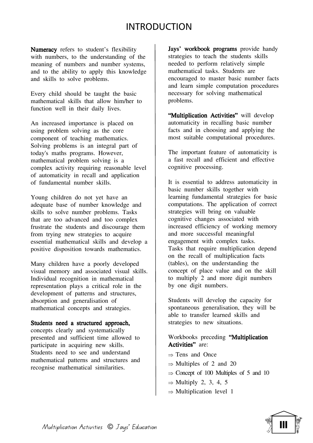### INTRODUCTION

Numeracy refers to student's flexibility with numbers, to the understanding of the meaning of numbers and number systems, and to the ability to apply this knowledge and skills to solve problems.

Every child should be taught the basic mathematical skills that allow him/her to function well in their daily lives.

An increased importance is placed on using problem solving as the core component of teaching mathematics. Solving problems is an integral part of today's maths programs. However, mathematical problem solving is a complex activity requiring reasonable level of automaticity in recall and application of fundamental number skills.

Young children do not yet have an adequate base of number knowledge and skills to solve number problems. Tasks that are too advanced and too complex frustrate the students and discourage them from trying new strategies to acquire essential mathematical skills and develop a positive disposition towards mathematics.

Many children have a poorly developed visual memory and associated visual skills. Individual recognition in mathematical representation plays a critical role in the development of patterns and structures, absorption and generalisation of mathematical concepts and strategies.

#### Students need a structured approach,

concepts clearly and systematically presented and sufficient time allowed to participate in acquiring new skills. Students need to see and understand mathematical patterns and structures and recognise mathematical similarities.

Jays' workbook programs provide handy strategies to teach the students skills needed to perform relatively simple mathematical tasks. Students are encouraged to master basic number facts and learn simple computation procedures necessary for solving mathematical problems.

"Multiplication Activities" will develop automaticity in recalling basic number facts and in choosing and applying the most suitable computational procedures.

The important feature of automaticity is a fast recall and efficient and effective cognitive processing.

It is essential to address automaticity in basic number skills together with learning fundamental strategies for basic computations. The application of correct strategies will bring on valuable cognitive changes associated with increased efficiency of working memory and more successful meaningful engagement with complex tasks. Tasks that require multiplication depend on the recall of multiplication facts (tables), on the understanding the concept of place value and on the skill to multiply 2 and more digit numbers by one digit numbers.

Students will develop the capacity for spontaneous generalisation, they will be able to transfer learned skills and strategies to new situations.

Workbooks preceding "Multiplication "Multiplication Activities" are:

- ⇒ Tens and Once
- $\Rightarrow$  Multiples of 2 and 20
- $\Rightarrow$  Concept of 100 Multiples of 5 and 10
- $\Rightarrow$  Multiply 2, 3, 4, 5
- $\Rightarrow$  Multiplication level 1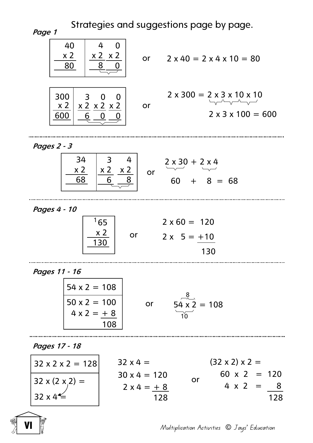Strategies and suggestions page by page.

Page 1

| Figure 7                                  |                          |                                          |                                                 |                                                 |
|-------------------------------------------|--------------------------|------------------------------------------|-------------------------------------------------|-------------------------------------------------|
| 40                                        |                          |                                          | 40                                              | 40                                              |
| $\frac{x2}{80}$                           | $\frac{x2 \times 2}{80}$ | or                                       | $2 \times 40 = 2 \times 4 \times 10 = 80$       |                                                 |
| $\frac{300}{600}$                         | $\frac{3}{80}$           | or                                       | $2 \times 300 = 2 \times 3 \times 10 \times 10$ |                                                 |
| $\frac{x2}{600}$                          | $\frac{x2}{60}$          | $\frac{x2}{60}$                          | or                                              | $2 \times 300 = 2 \times 3 \times 10 \times 10$ |
| $\frac{x2}{600}$                          | $\frac{x2}{60}$          | $\frac{x2}{60}$                          | or                                              | $2 \times 30 + 2 \times 4$                      |
| $\frac{x2}{68}$                           | $\frac{x2}{6}$           | $\frac{x2}{6}$                           | or                                              | $2 \times 5 = +10$                              |
| $\frac{x2}{130}$                          | or                       | $2 \times 5 = +10$                       |                                                 |                                                 |
| $\frac{54 \times 2 = 108}{130}$           | or                       | $\frac{8}{10}$                           |                                                 |                                                 |
| $\frac{56 \times 2 = 100}{108}$           | or                       | $\frac{54 \times 2}{10}$                 | 108                                             |                                                 |
| $\frac{132 \times 2 \times 2 = 128}{128}$ | $32 \times 4 =$          | $\frac{32 \times 2 \times 2 = 120}{128}$ |                                                 |                                                 |
| $\frac{32 \times ($                       |                          |                                          |                                                 |                                                 |

VI Multiplication Activities © Jays' Education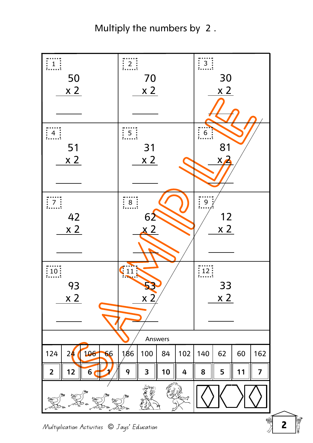Multiply the numbers by 2 .



Multiplication Activities  $\bigcirc$  Jays' Education 2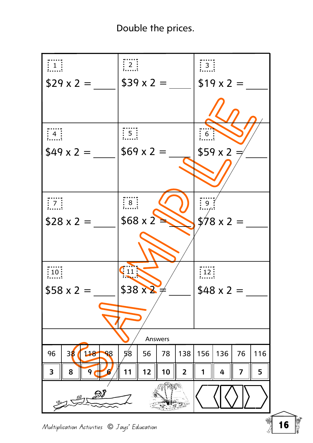Double the prices.



Multiplication Activities  $\bigcirc$  Jays' Education 16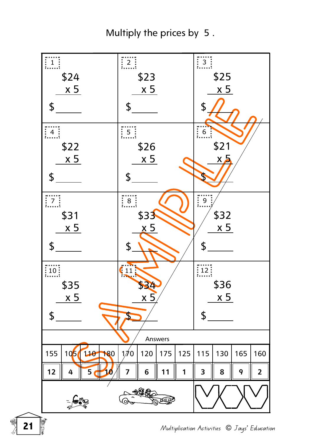Multiply the prices by 5 .



**21**  $\frac{1}{9}$  **21**  $\frac{1}{9}$  **Aultiplication Activities © Jays' Education**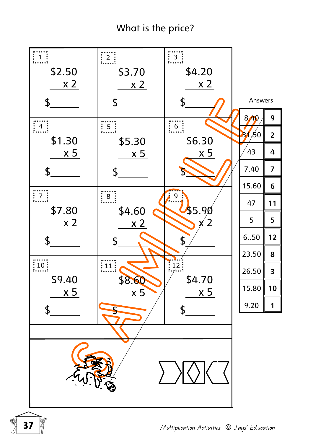What is the price?